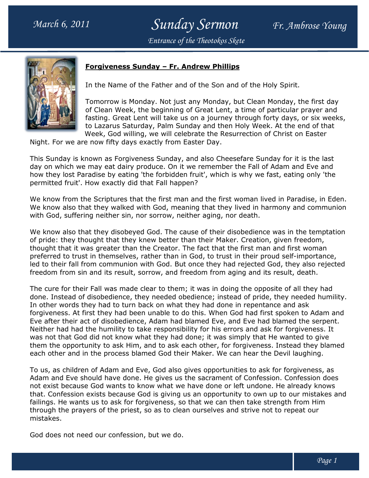## Sunday Sermon Fr. Ambrose Young Entrance of the Theotokos Skete

## <u> Forgiveness Sunday – Fr. Andrew Phillips</u>

In the Name of the Father and of the Son and of the Holy Spirit.

In the Name of the Father and of the Son and of the Holy Spirit.<br>Tomorrow is Monday. Not just any Monday, but Clean Monday, the first day of Clean Week, the beginning of Great Lent, a time of particular prayer and fasting. Great Lent will take us on a journey through forty days, or six weeks, fasting. Great Lent will take us on a journey through forty days, or six weel<br>to Lazarus Saturday, Palm Sunday and then Holy Week. At the end of that Week, God willing, we will celebrate the Resurrection of Christ on Easter Monday. Not just any Monday, but Clean Monday, the first day<br>of Clean Week, the beginning of Great Lent, a time of particular prayer and<br>fasting. Great Lent will take us on a journey through forty days, or six week<br>to Laza

Night. For we are now fifty days exactly from Easter Day.

Week, God willing, we will celebrate the Resurrection of Christ on Easter<br>Night. For we are now fifty days exactly from Easter Day.<br>This Sunday is known as Forgiveness Sunday, and also Cheesefare Sunday for it is the last day on which we may eat dairy produce. On it we remember the Fall of Adam and Eve and how they lost Paradise by eating 'the forbidden fruit', which is why we fast, eating only 'the permitted fruit'. How exactly did that Fall happen? ich we may eat dairy produce. On it we remember the Fall of Adam<br>ost Paradise by eating 'the forbidden fruit', which is why we fast, ea<br>fruit'. How exactly did that Fall happen?

We know from the Scriptures that the first man and the first woman lived in Paradise, in Eden. We know also that they walked with God, meaning that they lived in harmony and communion We know also that they walked with God, meaning that they lived in l<br>with God, suffering neither sin, nor sorrow, neither aging, nor death.

We know also that they disobeyed God. The cause of their disobedience was in the temptation of pride: they thought that they knew better than their Maker. Creation, given freedom, of pride: they thought that they knew better than their Maker. Creation, given freedom,<br>thought that it was greater than the Creator. The fact that the first man and first woman preferred to trust in themselves, rather than in God, to trust in their proud self led to their fall from communion with God. But once they had rejected God, they also rejected freedom from sin and its result, sorrow, and freedom from aging and its result, death death.

The cure for their Fall was made clear to them; it was in doing the opposite of all they had done. Instead of disobedience, they needed obedience; instead of pride, they needed humility. In other words they had to turn back on what they had done in repentance and ask forgiveness. At first they had been unable to do this. When God had first spoken to Adam and forgiveness. At first they had been unable to do this. When God had first spoken to Adam and<br>Eve after their act of disobedience, Adam had blamed Eve, and Eve had blamed the serpent. Neither had had the humility to take responsibility for his errors and ask for forgiveness. It was not that God did not know what they had done; it was simply that He wanted to give them the opportunity to ask Him, and to ask each other, for forgiveness. Instead they blamed each other and in the process blamed God their Maker. We can hear the Devil laughing. preferred to trust in themselves, rather than in God, to trust in their proud self-importated to their fall from communion with God. But once they had rejected God, they also r<br>freedom from sin and its result, sorrow, and words they had to turn back on what they had done in repentance and ask ss. At first they had been unable to do this. When God had first spoken to Ada<br>their act of disobedience, Adam had blamed Eve, and Eve had blamed the

To us, as children of Adam and Eve, God also gives opportunities to ask for forgiveness, as Adam and Eve should have done. He gives us the sacrament of Confession. Confession does not exist because God wants to know what we have done or left undone. He already knows that. Confession exists because God is giving us an opportunity to own up to our mistakes and failings. He wants us to ask for forgiveness, so that we can then take strength from Him through the prayers of the priest, so as to clean ourselves and strive not to repeat our mistakes. To us, as children of Adam and Eve, God also gives opportunities to ask for fo<br>Adam and Eve should have done. He gives us the sacrament of Confession. C<br>not exist because God wants to know what we have done or left undone.

God does not need our confession, but we do.